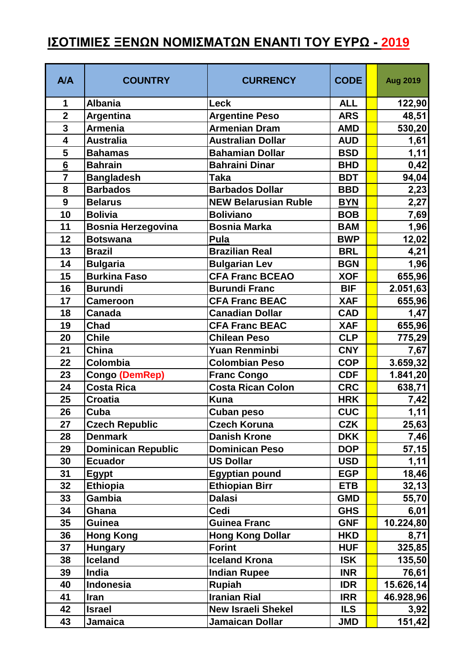## **ΙΣΟΤΙΜΙΕΣ ΞΕΝΩΝ ΝΟΜΙΣΜΑΤΩΝ ΕΝΑΝΤΙ ΤΟΥ ΕΥΡΩ - 2019**

| <b>A/A</b>      | <b>COUNTRY</b>            | <b>CURRENCY</b>             | <b>CODE</b> | <b>Aug 2019</b> |
|-----------------|---------------------------|-----------------------------|-------------|-----------------|
| 1               | <b>Albania</b>            | Leck                        | <b>ALL</b>  | 122,90          |
| $\overline{2}$  | <b>Argentina</b>          | <b>Argentine Peso</b>       | <b>ARS</b>  | 48,51           |
| $\overline{3}$  | <b>Armenia</b>            | <b>Armenian Dram</b>        | <b>AMD</b>  | 530,20          |
| 4               | <b>Australia</b>          | <b>Australian Dollar</b>    | <b>AUD</b>  | 1,61            |
| 5               | <b>Bahamas</b>            | <b>Bahamian Dollar</b>      | <b>BSD</b>  | 1,11            |
| $6\overline{6}$ | <b>Bahrain</b>            | <b>Bahraini Dinar</b>       | <b>BHD</b>  | 0,42            |
| $\overline{7}$  | <b>Bangladesh</b>         | <b>Taka</b>                 | <b>BDT</b>  | 94,04           |
| 8               | <b>Barbados</b>           | <b>Barbados Dollar</b>      | <b>BBD</b>  | 2,23            |
| 9               | <b>Belarus</b>            | <b>NEW Belarusian Ruble</b> | <b>BYN</b>  | 2,27            |
| 10              | <b>Bolivia</b>            | <b>Boliviano</b>            | <b>BOB</b>  | 7,69            |
| 11              | <b>Bosnia Herzegovina</b> | <b>Bosnia Marka</b>         | <b>BAM</b>  | 1,96            |
| 12              | <b>Botswana</b>           | Pula                        | <b>BWP</b>  | 12,02           |
| 13              | <b>Brazil</b>             | <b>Brazilian Real</b>       | <b>BRL</b>  | 4,21            |
| 14              | <b>Bulgaria</b>           | <b>Bulgarian Lev</b>        | <b>BGN</b>  | 1,96            |
| 15              | <b>Burkina Faso</b>       | <b>CFA Franc BCEAO</b>      | <b>XOF</b>  | 655,96          |
| 16              | <b>Burundi</b>            | <b>Burundi Franc</b>        | <b>BIF</b>  | 2.051,63        |
| 17              | <b>Cameroon</b>           | <b>CFA Franc BEAC</b>       | <b>XAF</b>  | 655,96          |
| 18              | <b>Canada</b>             | <b>Canadian Dollar</b>      | <b>CAD</b>  | 1,47            |
| 19              | <b>Chad</b>               | <b>CFA Franc BEAC</b>       | <b>XAF</b>  | 655,96          |
| 20              | <b>Chile</b>              | <b>Chilean Peso</b>         | <b>CLP</b>  | 775,29          |
| 21              | <b>China</b>              | Yuan Renminbi               | <b>CNY</b>  | 7,67            |
| 22              | Colombia                  | <b>Colombian Peso</b>       | <b>COP</b>  | 3.659,32        |
| 23              | <b>Congo (DemRep)</b>     | <b>Franc Congo</b>          | <b>CDF</b>  | 1.841, 20       |
| 24              | <b>Costa Rica</b>         | <b>Costa Rican Colon</b>    | <b>CRC</b>  | 638,71          |
| 25              | <b>Croatia</b>            | <b>Kuna</b>                 | <b>HRK</b>  | 7,42            |
| 26              | Cuba                      | <b>Cuban peso</b>           | <b>CUC</b>  | 1,11            |
| 27              | <b>Czech Republic</b>     | <b>Czech Koruna</b>         | <b>CZK</b>  | 25,63           |
| 28              | <b>Denmark</b>            | <b>Danish Krone</b>         | <b>DKK</b>  | 7,46            |
| 29              | <b>Dominican Republic</b> | <b>Dominican Peso</b>       | <b>DOP</b>  | 57,15           |
| 30              | <b>Ecuador</b>            | <b>US Dollar</b>            | <b>USD</b>  | 1,11            |
| 31              | Egypt                     | <b>Egyptian pound</b>       | <b>EGP</b>  | 18,46           |
| 32              | <b>Ethiopia</b>           | <b>Ethiopian Birr</b>       | <b>ETB</b>  | 32,13           |
| 33              | <b>Gambia</b>             | <b>Dalasi</b>               | <b>GMD</b>  | 55,70           |
| 34              | Ghana                     | Cedi                        | <b>GHS</b>  | 6,01            |
| 35              | <b>Guinea</b>             | <b>Guinea Franc</b>         | <b>GNF</b>  | 10.224,80       |
| 36              | <b>Hong Kong</b>          | <b>Hong Kong Dollar</b>     | <b>HKD</b>  | 8,71            |
| 37              | <b>Hungary</b>            | <b>Forint</b>               | <b>HUF</b>  | 325,85          |
| 38              | <b>Iceland</b>            | <b>Iceland Krona</b>        | <b>ISK</b>  | 135,50          |
| 39              | India                     | <b>Indian Rupee</b>         | <b>INR</b>  | 76,61           |
| 40              | <b>Indonesia</b>          | <b>Rupiah</b>               | <b>IDR</b>  | 15.626,14       |
| 41              | <b>Iran</b>               | <b>Iranian Rial</b>         | <b>IRR</b>  | 46.928,96       |
| 42              | <b>Israel</b>             | <b>New Israeli Shekel</b>   | <b>ILS</b>  | 3,92            |
| 43              | Jamaica                   | Jamaican Dollar             | <b>JMD</b>  | 151,42          |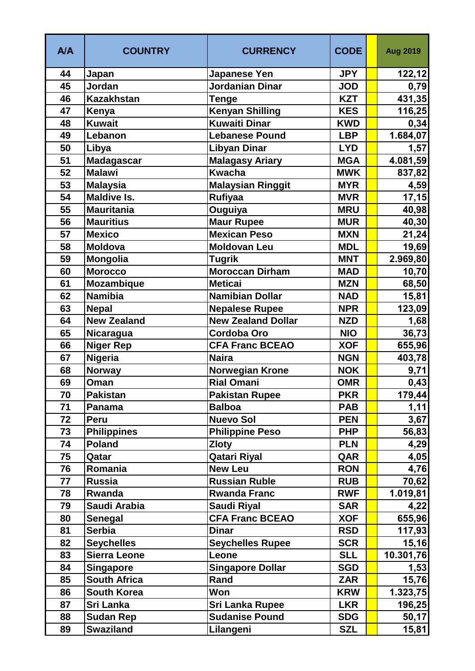| <b>A/A</b> | <b>COUNTRY</b>      | <b>CURRENCY</b>           | <b>CODE</b> | <b>Aug 2019</b> |
|------------|---------------------|---------------------------|-------------|-----------------|
| 44         | Japan               | <b>Japanese Yen</b>       | <b>JPY</b>  | 122,12          |
| 45         | Jordan              | Jordanian Dinar           | <b>JOD</b>  | 0,79            |
| 46         | <b>Kazakhstan</b>   | Tenge                     | <b>KZT</b>  | 431,35          |
| 47         | Kenya               | <b>Kenyan Shilling</b>    | <b>KES</b>  | 116,25          |
| 48         | <b>Kuwait</b>       | <b>Kuwaiti Dinar</b>      | <b>KWD</b>  | 0,34            |
| 49         | Lebanon             | <b>Lebanese Pound</b>     | <b>LBP</b>  | 1.684,07        |
| 50         | Libya               | <b>Libyan Dinar</b>       | <b>LYD</b>  | 1,57            |
| 51         | <b>Madagascar</b>   | <b>Malagasy Ariary</b>    | <b>MGA</b>  | 4.081,59        |
| 52         | <b>Malawi</b>       | <b>Kwacha</b>             | <b>MWK</b>  | 837,82          |
| 53         | <b>Malaysia</b>     | <b>Malaysian Ringgit</b>  | <b>MYR</b>  | 4,59            |
| 54         | <b>Maldive Is.</b>  | <b>Rufiyaa</b>            | <b>MVR</b>  | 17,15           |
| 55         | <b>Mauritania</b>   | Ouguiya                   | <b>MRU</b>  | 40,98           |
| 56         | <b>Mauritius</b>    | <b>Maur Rupee</b>         | <b>MUR</b>  | 40,30           |
| 57         | <b>Mexico</b>       | <b>Mexican Peso</b>       | <b>MXN</b>  | 21,24           |
| 58         | <b>Moldova</b>      | <b>Moldovan Leu</b>       | <b>MDL</b>  | 19,69           |
| 59         | Mongolia            | <b>Tugrik</b>             | <b>MNT</b>  | 2.969,80        |
| 60         | <b>Morocco</b>      | <b>Moroccan Dirham</b>    | <b>MAD</b>  | 10,70           |
| 61         | Mozambique          | <b>Meticai</b>            | <b>MZN</b>  | 68,50           |
| 62         | <b>Namibia</b>      | Namibian Dollar           | <b>NAD</b>  | 15,81           |
| 63         | <b>Nepal</b>        | <b>Nepalese Rupee</b>     | <b>NPR</b>  | 123,09          |
| 64         | <b>New Zealand</b>  | <b>New Zealand Dollar</b> | <b>NZD</b>  | 1,68            |
| 65         | Nicaragua           | <b>Cordoba Oro</b>        | <b>NIO</b>  | 36,73           |
| 66         | <b>Niger Rep</b>    | <b>CFA Franc BCEAO</b>    | <b>XOF</b>  | 655,96          |
| 67         | <b>Nigeria</b>      | <b>Naira</b>              | <b>NGN</b>  | 403,78          |
| 68         | Norway              | Norwegian Krone           | <b>NOK</b>  | 9,71            |
| 69         | Oman                | <b>Rial Omani</b>         | <b>OMR</b>  | 0,43            |
| 70         | <b>Pakistan</b>     | <b>Pakistan Rupee</b>     | <b>PKR</b>  | 179,44          |
| 71         | Panama              | <b>Balboa</b>             | <b>PAB</b>  | 1,11            |
| 72         | <b>Peru</b>         | <b>Nuevo Sol</b>          | <b>PEN</b>  | 3,67            |
| 73         | <b>Philippines</b>  | <b>Philippine Peso</b>    | <b>PHP</b>  | 56,83           |
| 74         | <b>Poland</b>       | <b>Zloty</b>              | <b>PLN</b>  | 4,29            |
| 75         | Qatar               | <b>Qatari Riyal</b>       | QAR         | 4,05            |
| 76         | Romania             | <b>New Leu</b>            | <b>RON</b>  | 4,76            |
| 77         | <b>Russia</b>       | <b>Russian Ruble</b>      | <b>RUB</b>  | 70,62           |
| 78         | Rwanda              | <b>Rwanda Franc</b>       | <b>RWF</b>  | 1.019,81        |
| 79         | Saudi Arabia        | Saudi Riyal               | <b>SAR</b>  | 4,22            |
| 80         | <b>Senegal</b>      | <b>CFA Franc BCEAO</b>    | <b>XOF</b>  | 655,96          |
| 81         | <b>Serbia</b>       | <b>Dinar</b>              | <b>RSD</b>  | 117,93          |
| 82         | <b>Seychelles</b>   | <b>Seychelles Rupee</b>   | <b>SCR</b>  | 15,16           |
| 83         | <b>Sierra Leone</b> | Leone                     | <b>SLL</b>  | 10.301,76       |
| 84         | <b>Singapore</b>    | <b>Singapore Dollar</b>   | <b>SGD</b>  | 1,53            |
| 85         | <b>South Africa</b> | Rand                      | <b>ZAR</b>  | 15,76           |
| 86         | <b>South Korea</b>  | Won                       | <b>KRW</b>  | 1.323,75        |
| 87         | Sri Lanka           | <b>Sri Lanka Rupee</b>    | <b>LKR</b>  | 196,25          |
| 88         | <b>Sudan Rep</b>    | <b>Sudanise Pound</b>     | <b>SDG</b>  | 50,17           |
| 89         | <b>Swaziland</b>    | Lilangeni                 | <b>SZL</b>  | 15,81           |